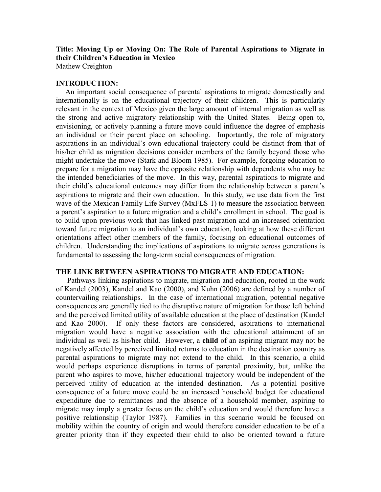Title: Moving Up or Moving On: The Role of Parental Aspirations to Migrate in their Children's Education in Mexico

Mathew Creighton

### INTRODUCTION:

 An important social consequence of parental aspirations to migrate domestically and internationally is on the educational trajectory of their children. This is particularly relevant in the context of Mexico given the large amount of internal migration as well as the strong and active migratory relationship with the United States. Being open to, envisioning, or actively planning a future move could influence the degree of emphasis an individual or their parent place on schooling. Importantly, the role of migratory aspirations in an individual's own educational trajectory could be distinct from that of his/her child as migration decisions consider members of the family beyond those who might undertake the move (Stark and Bloom 1985). For example, forgoing education to prepare for a migration may have the opposite relationship with dependents who may be the intended beneficiaries of the move. In this way, parental aspirations to migrate and their child's educational outcomes may differ from the relationship between a parent's aspirations to migrate and their own education. In this study, we use data from the first wave of the Mexican Family Life Survey (MxFLS-1) to measure the association between a parent's aspiration to a future migration and a child's enrollment in school. The goal is to build upon previous work that has linked past migration and an increased orientation toward future migration to an individual's own education, looking at how these different orientations affect other members of the family, focusing on educational outcomes of children. Understanding the implications of aspirations to migrate across generations is fundamental to assessing the long-term social consequences of migration.

# THE LINK BETWEEN ASPIRATIONS TO MIGRATE AND EDUCATION:

 Pathways linking aspirations to migrate, migration and education, rooted in the work of Kandel (2003), Kandel and Kao (2000), and Kuhn (2006) are defined by a number of countervailing relationships. In the case of international migration, potential negative consequences are generally tied to the disruptive nature of migration for those left behind and the perceived limited utility of available education at the place of destination (Kandel and Kao 2000). If only these factors are considered, aspirations to international migration would have a negative association with the educational attainment of an individual as well as his/her child. However, a child of an aspiring migrant may not be negatively affected by perceived limited returns to education in the destination country as parental aspirations to migrate may not extend to the child. In this scenario, a child would perhaps experience disruptions in terms of parental proximity, but, unlike the parent who aspires to move, his/her educational trajectory would be independent of the perceived utility of education at the intended destination. As a potential positive consequence of a future move could be an increased household budget for educational expenditure due to remittances and the absence of a household member, aspiring to migrate may imply a greater focus on the child's education and would therefore have a positive relationship (Taylor 1987). Families in this scenario would be focused on mobility within the country of origin and would therefore consider education to be of a greater priority than if they expected their child to also be oriented toward a future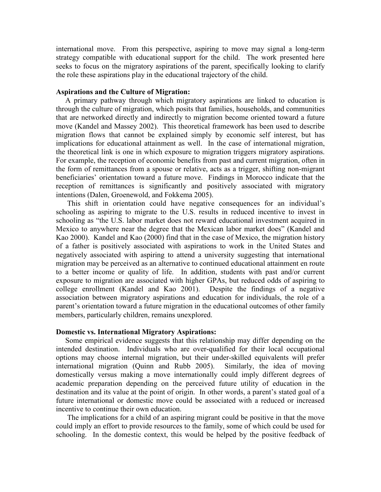international move. From this perspective, aspiring to move may signal a long-term strategy compatible with educational support for the child. The work presented here seeks to focus on the migratory aspirations of the parent, specifically looking to clarify the role these aspirations play in the educational trajectory of the child.

# Aspirations and the Culture of Migration:

 A primary pathway through which migratory aspirations are linked to education is through the culture of migration, which posits that families, households, and communities that are networked directly and indirectly to migration become oriented toward a future move (Kandel and Massey 2002). This theoretical framework has been used to describe migration flows that cannot be explained simply by economic self interest, but has implications for educational attainment as well. In the case of international migration, the theoretical link is one in which exposure to migration triggers migratory aspirations. For example, the reception of economic benefits from past and current migration, often in the form of remittances from a spouse or relative, acts as a trigger, shifting non-migrant beneficiaries' orientation toward a future move. Findings in Morocco indicate that the reception of remittances is significantly and positively associated with migratory intentions (Dalen, Groenewold, and Fokkema 2005).

 This shift in orientation could have negative consequences for an individual's schooling as aspiring to migrate to the U.S. results in reduced incentive to invest in schooling as "the U.S. labor market does not reward educational investment acquired in Mexico to anywhere near the degree that the Mexican labor market does" (Kandel and Kao 2000). Kandel and Kao (2000) find that in the case of Mexico, the migration history of a father is positively associated with aspirations to work in the United States and negatively associated with aspiring to attend a university suggesting that international migration may be perceived as an alternative to continued educational attainment en route to a better income or quality of life. In addition, students with past and/or current exposure to migration are associated with higher GPAs, but reduced odds of aspiring to college enrollment (Kandel and Kao 2001). Despite the findings of a negative association between migratory aspirations and education for individuals, the role of a parent's orientation toward a future migration in the educational outcomes of other family members, particularly children, remains unexplored.

# Domestic vs. International Migratory Aspirations:

 Some empirical evidence suggests that this relationship may differ depending on the intended destination. Individuals who are over-qualified for their local occupational options may choose internal migration, but their under-skilled equivalents will prefer international migration (Quinn and Rubb 2005). Similarly, the idea of moving domestically versus making a move internationally could imply different degrees of academic preparation depending on the perceived future utility of education in the destination and its value at the point of origin. In other words, a parent's stated goal of a future international or domestic move could be associated with a reduced or increased incentive to continue their own education.

 The implications for a child of an aspiring migrant could be positive in that the move could imply an effort to provide resources to the family, some of which could be used for schooling. In the domestic context, this would be helped by the positive feedback of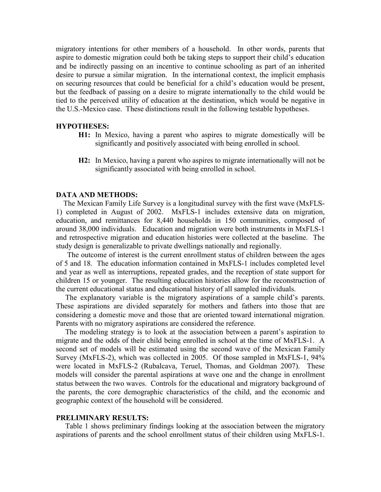migratory intentions for other members of a household. In other words, parents that aspire to domestic migration could both be taking steps to support their child's education and be indirectly passing on an incentive to continue schooling as part of an inherited desire to pursue a similar migration. In the international context, the implicit emphasis on securing resources that could be beneficial for a child's education would be present, but the feedback of passing on a desire to migrate internationally to the child would be tied to the perceived utility of education at the destination, which would be negative in the U.S.-Mexico case. These distinctions result in the following testable hypotheses.

#### HYPOTHESES:

- H1: In Mexico, having a parent who aspires to migrate domestically will be significantly and positively associated with being enrolled in school.
- H2: In Mexico, having a parent who aspires to migrate internationally will not be significantly associated with being enrolled in school.

#### DATA AND METHODS:

 The Mexican Family Life Survey is a longitudinal survey with the first wave (MxFLS-1) completed in August of 2002. MxFLS-1 includes extensive data on migration, education, and remittances for 8,440 households in 150 communities, composed of around 38,000 individuals. Education and migration were both instruments in MxFLS-1 and retrospective migration and education histories were collected at the baseline. The study design is generalizable to private dwellings nationally and regionally.

 The outcome of interest is the current enrollment status of children between the ages of 5 and 18. The education information contained in MxFLS-1 includes completed level and year as well as interruptions, repeated grades, and the reception of state support for children 15 or younger. The resulting education histories allow for the reconstruction of the current educational status and educational history of all sampled individuals.

 The explanatory variable is the migratory aspirations of a sample child's parents. These aspirations are divided separately for mothers and fathers into those that are considering a domestic move and those that are oriented toward international migration. Parents with no migratory aspirations are considered the reference.

 The modeling strategy is to look at the association between a parent's aspiration to migrate and the odds of their child being enrolled in school at the time of MxFLS-1. A second set of models will be estimated using the second wave of the Mexican Family Survey (MxFLS-2), which was collected in 2005. Of those sampled in MxFLS-1, 94% were located in MxFLS-2 (Rubalcava, Teruel, Thomas, and Goldman 2007). These models will consider the parental aspirations at wave one and the change in enrollment status between the two waves. Controls for the educational and migratory background of the parents, the core demographic characteristics of the child, and the economic and geographic context of the household will be considered.

### PRELIMINARY RESULTS:

 Table 1 shows preliminary findings looking at the association between the migratory aspirations of parents and the school enrollment status of their children using MxFLS-1.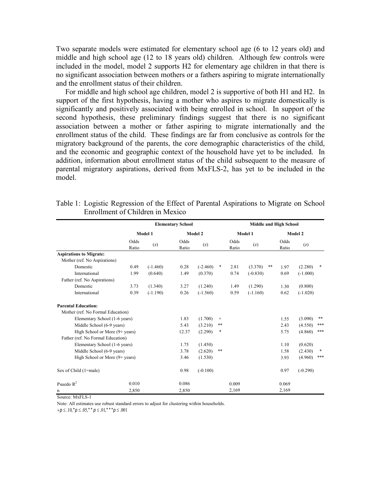Two separate models were estimated for elementary school age (6 to 12 years old) and middle and high school age (12 to 18 years old) children. Although few controls were included in the model, model 2 supports H2 for elementary age children in that there is no significant association between mothers or a fathers aspiring to migrate internationally and the enrollment status of their children.

 For middle and high school age children, model 2 is supportive of both H1 and H2. In support of the first hypothesis, having a mother who aspires to migrate domestically is significantly and positively associated with being enrolled in school. In support of the second hypothesis, these preliminary findings suggest that there is no significant association between a mother or father aspiring to migrate internationally and the enrollment status of the child. These findings are far from conclusive as controls for the migratory background of the parents, the core demographic characteristics of the child, and the economic and geographic context of the household have yet to be included. In addition, information about enrollment status of the child subsequent to the measure of parental migratory aspirations, derived from MxFLS-2, has yet to be included in the model.

|                                          |               | <b>Elementary School</b> |               |            |        | <b>Middle and High School</b> |            |      |               |            |        |
|------------------------------------------|---------------|--------------------------|---------------|------------|--------|-------------------------------|------------|------|---------------|------------|--------|
|                                          | Model 1       |                          | Model 2       |            |        |                               | Model 1    |      | Model 2       |            |        |
|                                          | Odds<br>Ratio | (z)                      | Odds<br>Ratio | (z)        |        | Odds<br>Ratio                 | (z)        |      | Odds<br>Ratio | (z)        |        |
| <b>Aspirations to Migrate:</b>           |               |                          |               |            |        |                               |            |      |               |            |        |
| Mother (ref. No Aspirations)             |               |                          |               |            |        |                               |            |      |               |            |        |
| Domestic                                 | 0.49          | $(-1.460)$               | 0.28          | $(-2.460)$ | *      | 2.81                          | (3.370)    | $**$ | 1.97          | (2.280)    | $*$    |
| International                            | 1.99          | (0.640)                  | 1.49          | (0.370)    |        | 0.74                          | $(-0.830)$ |      | 0.69          | $(-1.000)$ |        |
| Father (ref. No Aspirations)             |               |                          |               |            |        |                               |            |      |               |            |        |
| Domestic                                 | 3.73          | (1.340)                  | 3.27          | (1.240)    |        | 1.49                          | (1.290)    |      | 1.30          | (0.800)    |        |
| International                            | 0.39          | $(-1.190)$               | 0.26          | $(-1.560)$ |        | 0.59                          | $(-1.160)$ |      | 0.62          | $(-1.020)$ |        |
| <b>Parental Education:</b>               |               |                          |               |            |        |                               |            |      |               |            |        |
| Mother (ref. No Formal Education)        |               |                          |               |            |        |                               |            |      |               |            |        |
| Elementary School (1-6 years)            |               |                          | 1.83          | (1.700)    | $+$    |                               |            |      | 1.55          | (3.090)    | **     |
| Middle School (6-9 years)                |               |                          | 5.43          | (3.210)    | **     |                               |            |      | 2.43          | (4.550)    | ***    |
| High School or More (9+ years)           |               |                          | 12.37         | (2.290)    | $\ast$ |                               |            |      | 5.75          | (4.860)    | ***    |
| Father (ref. No Formal Education)        |               |                          |               |            |        |                               |            |      |               |            |        |
| Elementary School (1-6 years)            |               |                          | 1.75          | (1.450)    |        |                               |            |      | 1.10          | (0.620)    |        |
| Middle School (6-9 years)                |               |                          | 3.78          | (2.620)    | $**$   |                               |            |      | 1.58          | (2.430)    | $\ast$ |
| High School or More $(9 + \text{years})$ |               |                          | 3.46          | (1.530)    |        |                               |            |      | 3.93          | (4.960)    | ***    |
| Sex of Child (1=male)                    |               |                          | 0.98          | $(-0.100)$ |        |                               |            |      | 0.97          | $(-0.290)$ |        |
| Psuedo $R^2$                             | 0.010         |                          | 0.086         |            |        | 0.009                         |            |      | 0.069         |            |        |
| n                                        | 2,850         |                          | 2,850         |            |        | 2,169                         |            |      | 2,169         |            |        |

| Table 1: Logistic Regression of the Effect of Parental Aspirations to Migrate on School |  |  |  |  |
|-----------------------------------------------------------------------------------------|--|--|--|--|
| Enrollment of Children in Mexico                                                        |  |  |  |  |

Source: MxFLS-1

Note: All estimates use robust standard errors to adjust for clustering within households.

 $+p \leq .10, p \leq .05, p \leq .01, p \leq .01$